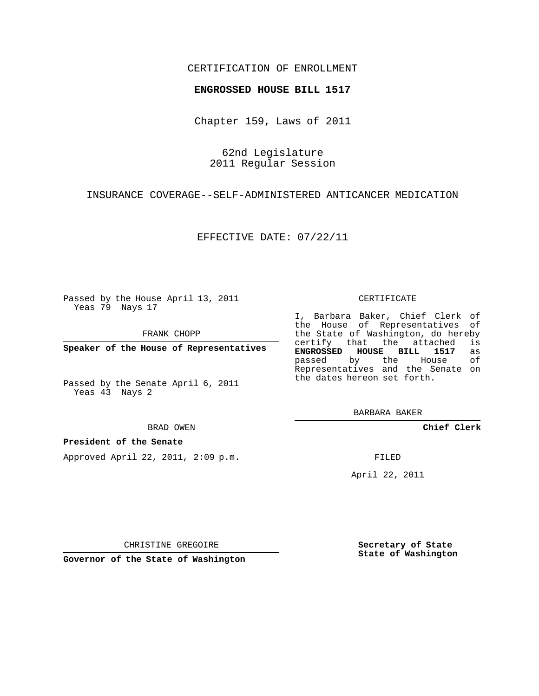## CERTIFICATION OF ENROLLMENT

### **ENGROSSED HOUSE BILL 1517**

Chapter 159, Laws of 2011

62nd Legislature 2011 Regular Session

INSURANCE COVERAGE--SELF-ADMINISTERED ANTICANCER MEDICATION

EFFECTIVE DATE: 07/22/11

Passed by the House April 13, 2011 Yeas 79 Nays 17

FRANK CHOPP

**Speaker of the House of Representatives**

Passed by the Senate April 6, 2011 Yeas 43 Nays 2

#### BRAD OWEN

### **President of the Senate**

Approved April 22, 2011, 2:09 p.m.

#### CERTIFICATE

I, Barbara Baker, Chief Clerk of the House of Representatives of the State of Washington, do hereby<br>certify that the attached is certify that the attached is<br>**ENGROSSED HOUSE BILL 1517** as **ENGROSSED HOUSE BILL 1517** as passed by the House Representatives and the Senate on the dates hereon set forth.

BARBARA BAKER

**Chief Clerk**

FILED

April 22, 2011

CHRISTINE GREGOIRE

**Governor of the State of Washington**

**Secretary of State State of Washington**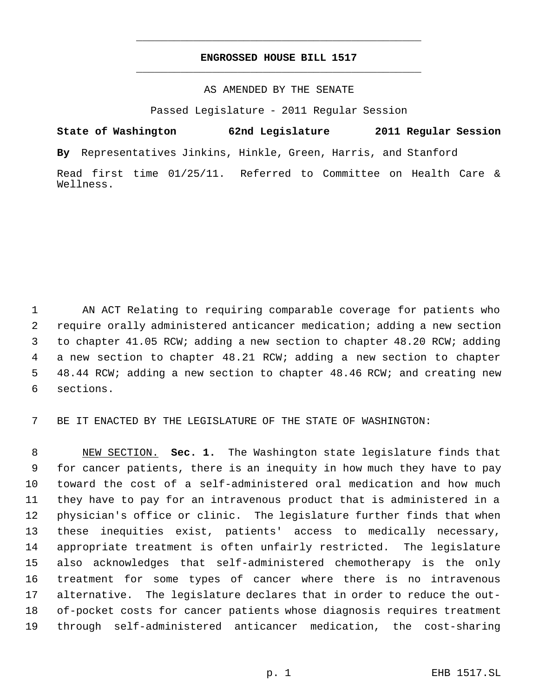# **ENGROSSED HOUSE BILL 1517** \_\_\_\_\_\_\_\_\_\_\_\_\_\_\_\_\_\_\_\_\_\_\_\_\_\_\_\_\_\_\_\_\_\_\_\_\_\_\_\_\_\_\_\_\_

\_\_\_\_\_\_\_\_\_\_\_\_\_\_\_\_\_\_\_\_\_\_\_\_\_\_\_\_\_\_\_\_\_\_\_\_\_\_\_\_\_\_\_\_\_

## AS AMENDED BY THE SENATE

Passed Legislature - 2011 Regular Session

**State of Washington 62nd Legislature 2011 Regular Session By** Representatives Jinkins, Hinkle, Green, Harris, and Stanford Read first time 01/25/11. Referred to Committee on Health Care & Wellness.

 AN ACT Relating to requiring comparable coverage for patients who require orally administered anticancer medication; adding a new section to chapter 41.05 RCW; adding a new section to chapter 48.20 RCW; adding a new section to chapter 48.21 RCW; adding a new section to chapter 48.44 RCW; adding a new section to chapter 48.46 RCW; and creating new sections.

BE IT ENACTED BY THE LEGISLATURE OF THE STATE OF WASHINGTON:

 NEW SECTION. **Sec. 1.** The Washington state legislature finds that for cancer patients, there is an inequity in how much they have to pay toward the cost of a self-administered oral medication and how much they have to pay for an intravenous product that is administered in a physician's office or clinic. The legislature further finds that when these inequities exist, patients' access to medically necessary, appropriate treatment is often unfairly restricted. The legislature also acknowledges that self-administered chemotherapy is the only treatment for some types of cancer where there is no intravenous alternative. The legislature declares that in order to reduce the out- of-pocket costs for cancer patients whose diagnosis requires treatment through self-administered anticancer medication, the cost-sharing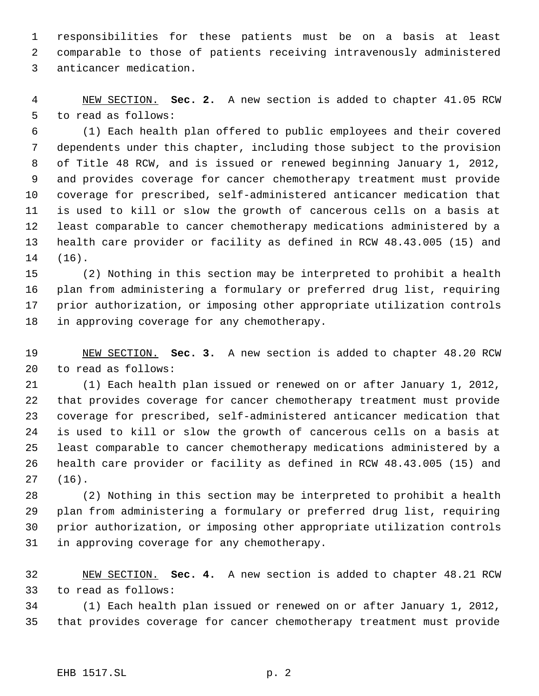responsibilities for these patients must be on a basis at least comparable to those of patients receiving intravenously administered anticancer medication.

 NEW SECTION. **Sec. 2.** A new section is added to chapter 41.05 RCW to read as follows:

 (1) Each health plan offered to public employees and their covered dependents under this chapter, including those subject to the provision of Title 48 RCW, and is issued or renewed beginning January 1, 2012, and provides coverage for cancer chemotherapy treatment must provide coverage for prescribed, self-administered anticancer medication that is used to kill or slow the growth of cancerous cells on a basis at least comparable to cancer chemotherapy medications administered by a health care provider or facility as defined in RCW 48.43.005 (15) and (16).

 (2) Nothing in this section may be interpreted to prohibit a health plan from administering a formulary or preferred drug list, requiring prior authorization, or imposing other appropriate utilization controls in approving coverage for any chemotherapy.

 NEW SECTION. **Sec. 3.** A new section is added to chapter 48.20 RCW to read as follows:

 (1) Each health plan issued or renewed on or after January 1, 2012, that provides coverage for cancer chemotherapy treatment must provide coverage for prescribed, self-administered anticancer medication that is used to kill or slow the growth of cancerous cells on a basis at least comparable to cancer chemotherapy medications administered by a health care provider or facility as defined in RCW 48.43.005 (15) and (16).

 (2) Nothing in this section may be interpreted to prohibit a health plan from administering a formulary or preferred drug list, requiring prior authorization, or imposing other appropriate utilization controls in approving coverage for any chemotherapy.

 NEW SECTION. **Sec. 4.** A new section is added to chapter 48.21 RCW to read as follows:

 (1) Each health plan issued or renewed on or after January 1, 2012, that provides coverage for cancer chemotherapy treatment must provide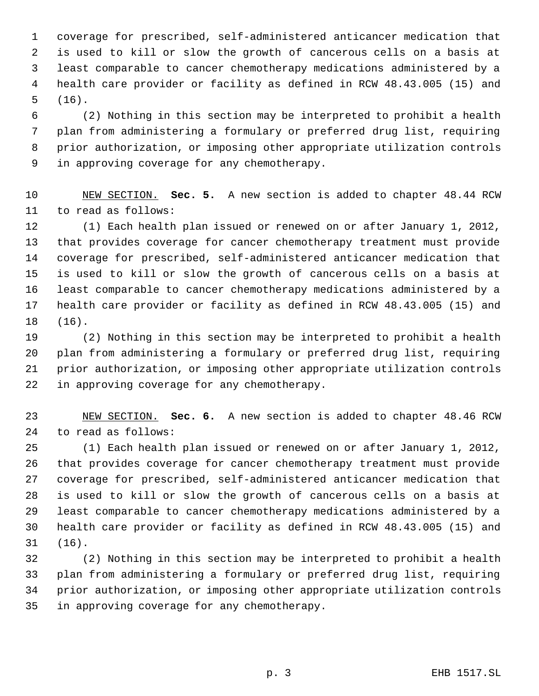coverage for prescribed, self-administered anticancer medication that is used to kill or slow the growth of cancerous cells on a basis at least comparable to cancer chemotherapy medications administered by a health care provider or facility as defined in RCW 48.43.005 (15) and (16).

 (2) Nothing in this section may be interpreted to prohibit a health plan from administering a formulary or preferred drug list, requiring prior authorization, or imposing other appropriate utilization controls in approving coverage for any chemotherapy.

 NEW SECTION. **Sec. 5.** A new section is added to chapter 48.44 RCW to read as follows:

 (1) Each health plan issued or renewed on or after January 1, 2012, that provides coverage for cancer chemotherapy treatment must provide coverage for prescribed, self-administered anticancer medication that is used to kill or slow the growth of cancerous cells on a basis at least comparable to cancer chemotherapy medications administered by a health care provider or facility as defined in RCW 48.43.005 (15) and (16).

 (2) Nothing in this section may be interpreted to prohibit a health plan from administering a formulary or preferred drug list, requiring prior authorization, or imposing other appropriate utilization controls in approving coverage for any chemotherapy.

 NEW SECTION. **Sec. 6.** A new section is added to chapter 48.46 RCW to read as follows:

 (1) Each health plan issued or renewed on or after January 1, 2012, that provides coverage for cancer chemotherapy treatment must provide coverage for prescribed, self-administered anticancer medication that is used to kill or slow the growth of cancerous cells on a basis at least comparable to cancer chemotherapy medications administered by a health care provider or facility as defined in RCW 48.43.005 (15) and (16).

 (2) Nothing in this section may be interpreted to prohibit a health plan from administering a formulary or preferred drug list, requiring prior authorization, or imposing other appropriate utilization controls in approving coverage for any chemotherapy.